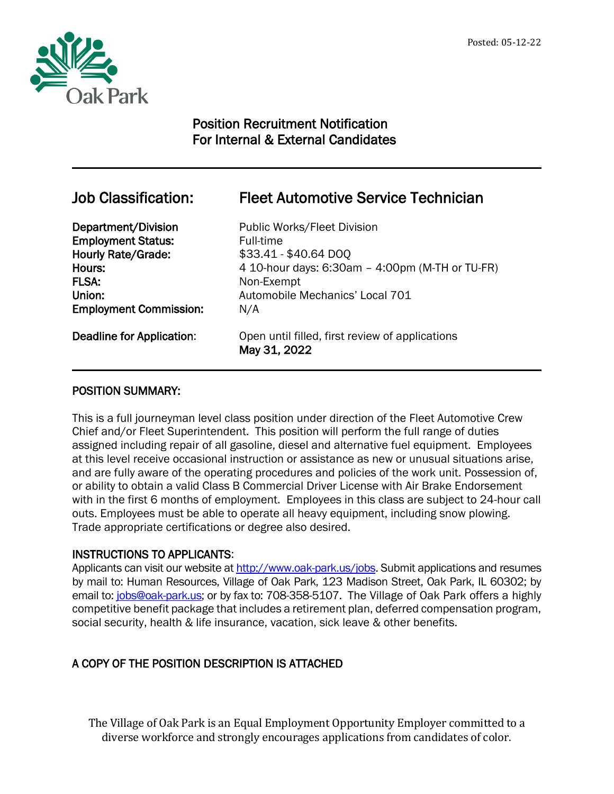

# Position Recruitment Notification For Internal & External Candidates

| <b>Job Classification:</b>                                                                                                                         | <b>Fleet Automotive Service Technician</b>                                                                                                                                          |
|----------------------------------------------------------------------------------------------------------------------------------------------------|-------------------------------------------------------------------------------------------------------------------------------------------------------------------------------------|
| Department/Division<br><b>Employment Status:</b><br><b>Hourly Rate/Grade:</b><br>Hours:<br><b>FLSA:</b><br>Union:<br><b>Employment Commission:</b> | <b>Public Works/Fleet Division</b><br>Full-time<br>\$33.41 - \$40.64 DOO<br>4 10-hour days: 6:30am - 4:00pm (M-TH or TU-FR)<br>Non-Exempt<br>Automobile Mechanics' Local 701<br>N/A |
| Deadline for Application:                                                                                                                          | Open until filled, first review of applications<br>May 31, 2022                                                                                                                     |

# POSITION SUMMARY:

This is a full journeyman level class position under direction of the Fleet Automotive Crew Chief and/or Fleet Superintendent. This position will perform the full range of duties assigned including repair of all gasoline, diesel and alternative fuel equipment. Employees at this level receive occasional instruction or assistance as new or unusual situations arise, and are fully aware of the operating procedures and policies of the work unit. Possession of, or ability to obtain a valid Class B Commercial Driver License with Air Brake Endorsement with in the first 6 months of employment. Employees in this class are subject to 24-hour call outs. Employees must be able to operate all heavy equipment, including snow plowing. Trade appropriate certifications or degree also desired.

# INSTRUCTIONS TO APPLICANTS:

Applicants can visit our website a[t http://www.oak-park.us/j](http://www.oak-park.us/)obs. Submit applications and resumes by mail to: Human Resources, Village of Oak Park, 123 Madison Street, Oak Park, IL 60302; by email to: [jobs@oak-park.us;](mailto:jobs@oak-park.us) or by fax to: 708-358-5107. The Village of Oak Park offers a highly competitive benefit package that includes a retirement plan, deferred compensation program, social security, health & life insurance, vacation, sick leave & other benefits.

# A COPY OF THE POSITION DESCRIPTION IS ATTACHED

The Village of Oak Park is an Equal Employment Opportunity Employer committed to a diverse workforce and strongly encourages applications from candidates of color.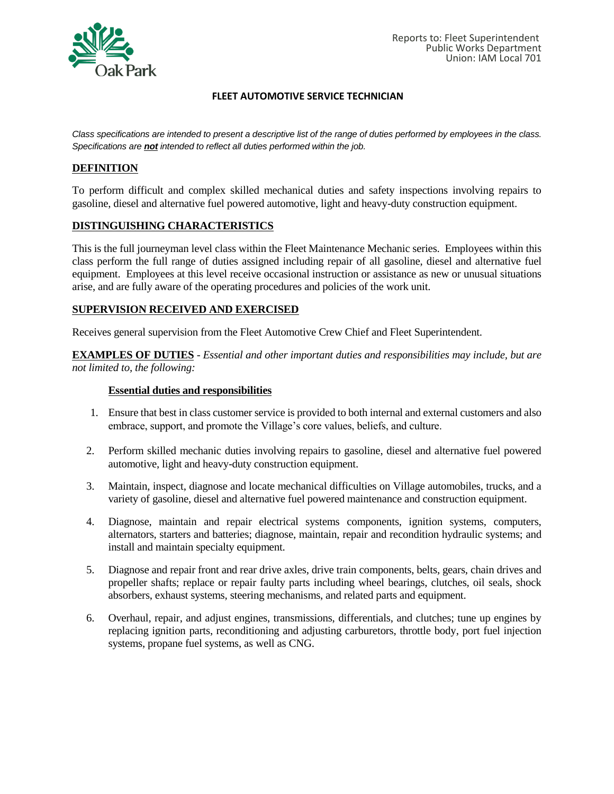

## **FLEET AUTOMOTIVE SERVICE TECHNICIAN**

*Class specifications are intended to present a descriptive list of the range of duties performed by employees in the class. Specifications are not intended to reflect all duties performed within the job.*

## **DEFINITION**

To perform difficult and complex skilled mechanical duties and safety inspections involving repairs to gasoline, diesel and alternative fuel powered automotive, light and heavy-duty construction equipment.

## **DISTINGUISHING CHARACTERISTICS**

This is the full journeyman level class within the Fleet Maintenance Mechanic series. Employees within this class perform the full range of duties assigned including repair of all gasoline, diesel and alternative fuel equipment. Employees at this level receive occasional instruction or assistance as new or unusual situations arise, and are fully aware of the operating procedures and policies of the work unit.

## **SUPERVISION RECEIVED AND EXERCISED**

Receives general supervision from the Fleet Automotive Crew Chief and Fleet Superintendent.

**EXAMPLES OF DUTIES** - *Essential and other important duties and responsibilities may include, but are not limited to, the following:*

#### **Essential duties and responsibilities**

- 1. Ensure that best in class customer service is provided to both internal and external customers and also embrace, support, and promote the Village's core values, beliefs, and culture.
- 2. Perform skilled mechanic duties involving repairs to gasoline, diesel and alternative fuel powered automotive, light and heavy-duty construction equipment.
- 3. Maintain, inspect, diagnose and locate mechanical difficulties on Village automobiles, trucks, and a variety of gasoline, diesel and alternative fuel powered maintenance and construction equipment.
- 4. Diagnose, maintain and repair electrical systems components, ignition systems, computers, alternators, starters and batteries; diagnose, maintain, repair and recondition hydraulic systems; and install and maintain specialty equipment.
- 5. Diagnose and repair front and rear drive axles, drive train components, belts, gears, chain drives and propeller shafts; replace or repair faulty parts including wheel bearings, clutches, oil seals, shock absorbers, exhaust systems, steering mechanisms, and related parts and equipment.
- 6. Overhaul, repair, and adjust engines, transmissions, differentials, and clutches; tune up engines by replacing ignition parts, reconditioning and adjusting carburetors, throttle body, port fuel injection systems, propane fuel systems, as well as CNG.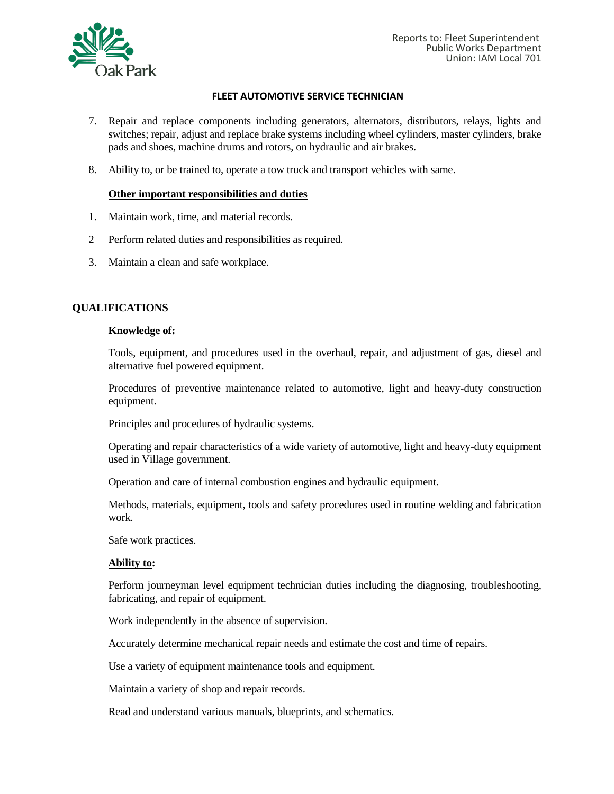

## **FLEET AUTOMOTIVE SERVICE TECHNICIAN**

- 7. Repair and replace components including generators, alternators, distributors, relays, lights and switches; repair, adjust and replace brake systems including wheel cylinders, master cylinders, brake pads and shoes, machine drums and rotors, on hydraulic and air brakes.
- 8. Ability to, or be trained to, operate a tow truck and transport vehicles with same.

#### **Other important responsibilities and duties**

- 1. Maintain work, time, and material records.
- 2 Perform related duties and responsibilities as required.
- 3. Maintain a clean and safe workplace.

## **QUALIFICATIONS**

#### **Knowledge of:**

Tools, equipment, and procedures used in the overhaul, repair, and adjustment of gas, diesel and alternative fuel powered equipment.

Procedures of preventive maintenance related to automotive, light and heavy-duty construction equipment.

Principles and procedures of hydraulic systems.

Operating and repair characteristics of a wide variety of automotive, light and heavy-duty equipment used in Village government.

Operation and care of internal combustion engines and hydraulic equipment.

Methods, materials, equipment, tools and safety procedures used in routine welding and fabrication work.

Safe work practices.

#### **Ability to:**

Perform journeyman level equipment technician duties including the diagnosing, troubleshooting, fabricating, and repair of equipment.

Work independently in the absence of supervision.

Accurately determine mechanical repair needs and estimate the cost and time of repairs.

Use a variety of equipment maintenance tools and equipment.

Maintain a variety of shop and repair records.

Read and understand various manuals, blueprints, and schematics.